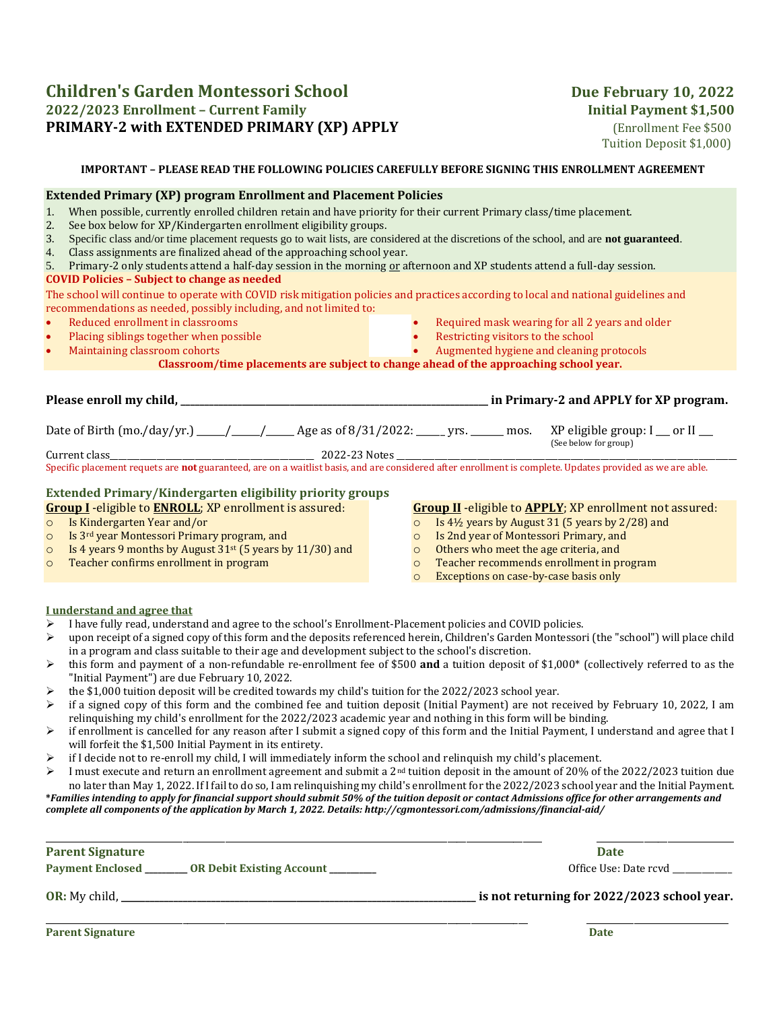## **Children's Garden Montessori School** Due February 10, 2022 **2022/2023 Enrollment – Current Family Initial Payment \$1,500 PRIMARY-2 with EXTENDED PRIMARY (XP) APPLY** *(Enrollment Fee \$500)*

Tuition Deposit \$1,000)

## **IMPORTANT – PLEASE READ THE FOLLOWING POLICIES CAREFULLY BEFORE SIGNING THIS ENROLLMENT AGREEMENT**

## **Extended Primary (XP) program Enrollment and Placement Policies**  1. When possible, currently enrolled children retain and have priority for their current Primary class/time placement. 2. See box below for XP/Kindergarten enrollment eligibility groups. 3. Specific class and/or time placement requests go to wait lists, are considered at the discretions of the school, and are **not guaranteed**. 4. Class assignments are finalized ahead of the approaching school year. 5. Primary-2 only students attend a half-day session in the morning or afternoon and XP students attend a full-day session. **COVID Policies – Subject to change as needed** The school will continue to operate with COVID risk mitigation policies and practices according to local and national guidelines and recommendations as needed, possibly including, and not limited to: • Reduced enrollment in classrooms • Placing siblings together when possible • Maintaining classroom cohorts • Required mask wearing for all 2 years and older Restricting visitors to the school • Augmented hygiene and cleaning protocols **Classroom/time placements are subject to change ahead of the approaching school year. Please enroll my child, \_\_\_\_\_\_\_\_\_\_\_\_\_\_\_\_\_\_\_\_\_\_\_\_\_\_\_\_\_\_\_\_\_\_\_\_\_\_\_\_\_\_\_\_\_\_\_\_\_\_\_\_\_\_\_\_\_\_\_\_\_\_\_\_\_ in Primary-2 and APPLY for XP program.**  Date of Birth (mo./day/yr.)  $\qquad$  /  $\qquad$  Age as of 8/31/2022:  $\qquad$  yrs.  $\qquad$  mos.  $\qquad$  XP eligible group: I  $\qquad$  or II (See below for group) Current class\_\_\_\_\_\_\_\_\_\_\_\_\_\_\_\_\_\_\_\_\_\_\_\_\_\_\_\_\_\_\_\_\_\_\_\_\_\_\_\_\_\_\_\_\_\_\_\_ 2022-23 Notes \_\_\_\_\_\_\_\_\_\_\_\_\_\_\_\_\_\_\_\_\_\_\_\_\_\_\_\_\_\_\_\_\_\_\_\_\_\_\_\_\_\_\_\_\_\_\_\_\_\_\_\_\_\_\_\_\_\_\_\_\_\_\_\_\_\_\_\_\_\_\_\_\_\_\_\_\_\_\_\_ Specific placement requets are **not** guaranteed, are on a waitlist basis, and are considered after enrollment is complete. Updates provided as we are able. **Extended Primary/Kindergarten eligibility priority groups Group I** -eligible to **ENROLL**; XP enrollment is assured: o Is Kindergarten Year and/or o Is 3rd year Montessori Primary program, and  $\circ$  Is 4 years 9 months by August 31<sup>st</sup> (5 years by 11/30) and o Teacher confirms enrollment in program **Group II** -eligible to **APPLY**; XP enrollment not assured: o Is 4½ years by August 31 (5 years by 2/28) and o Is 2nd year of Montessori Primary, and o Others who meet the age criteria, and o Teacher recommends enrollment in program o Exceptions on case-by-case basis only **I understand and agree that**  ➢ I have fully read, understand and agree to the school's Enrollment-Placement policies and COVID policies. ➢ upon receipt of a signed copy of this form and the deposits referenced herein, Children's Garden Montessori (the "school") will place child

- in a program and class suitable to their age and development subject to the school's discretion.
- ➢ this form and payment of a non-refundable re-enrollment fee of \$500 **and** a tuition deposit of \$1,000\* (collectively referred to as the "Initial Payment") are due February 10, 2022.
- the \$1,000 tuition deposit will be credited towards my child's tuition for the 2022/2023 school year.
- $\triangleright$  if a signed copy of this form and the combined fee and tuition deposit (Initial Payment) are not received by February 10, 2022, I am relinquishing my child's enrollment for the 2022/2023 academic year and nothing in this form will be binding.
- $\triangleright$  if enrollment is cancelled for any reason after I submit a signed copy of this form and the Initial Payment, I understand and agree that I will forfeit the \$1,500 Initial Payment in its entirety.
- $\triangleright$  if I decide not to re-enroll my child, I will immediately inform the school and relinquish my child's placement.
- $\triangleright$  I must execute and return an enrollment agreement and submit a 2<sup>nd</sup> tuition deposit in the amount of 20% of the 2022/2023 tuition due no later than May 1, 2022. If I fail to do so, I am relinquishing my child's enrollment for the 2022/2023 school year and the Initial Payment.

**\****Families intending to apply for financial support should submit 50% of the tuition deposit or contact Admissions office for other arrangements and complete all components of the application by March 1, 2022. Details: http://cgmontessori.com/admissions/financial-aid/*

| <b>Parent Signature</b>                                       | <b>Date</b>                                 |
|---------------------------------------------------------------|---------------------------------------------|
| Payment Enclosed _________ OR Debit Existing Account ________ | Office Use: Date rcyd                       |
|                                                               | is not returning for 2022/2023 school year. |
| <b>Parent Signature</b>                                       | <b>Date</b>                                 |